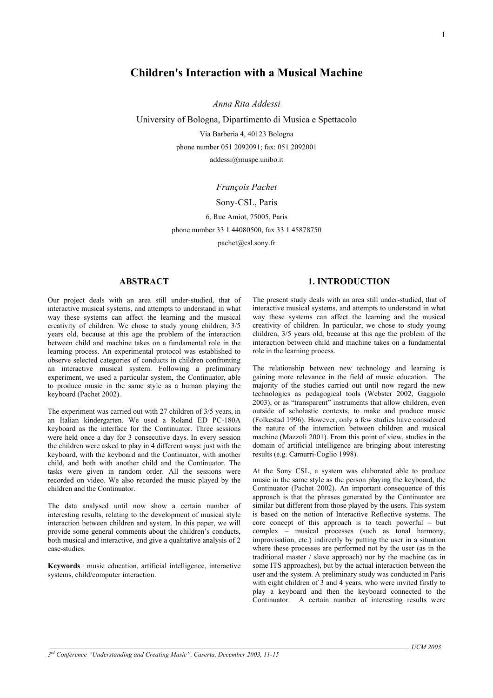# **Children's Interaction with a Musical Machine**

*Anna Rita Addessi* 

University of Bologna, Dipartimento di Musica e Spettacolo

Via Barberia 4, 40123 Bologna phone number 051 2092091; fax: 051 2092001 addessi@muspe.unibo.it

## *François Pachet*

## Sony-CSL, Paris

6, Rue Amiot, 75005, Paris

phone number 33 1 44080500, fax 33 1 45878750

pachet@csl.sony.fr

## **ABSTRACT**

Our project deals with an area still under-studied, that of interactive musical systems, and attempts to understand in what way these systems can affect the learning and the musical creativity of children. We chose to study young children, 3/5 years old, because at this age the problem of the interaction between child and machine takes on a fundamental role in the learning process. An experimental protocol was established to observe selected categories of conducts in children confronting an interactive musical system. Following a preliminary experiment, we used a particular system, the Continuator, able to produce music in the same style as a human playing the keyboard (Pachet 2002).

The experiment was carried out with 27 children of 3/5 years, in an Italian kindergarten. We used a Roland ED PC-180A keyboard as the interface for the Continuator. Three sessions were held once a day for 3 consecutive days. In every session the children were asked to play in 4 different ways: just with the keyboard, with the keyboard and the Continuator, with another child, and both with another child and the Continuator. The tasks were given in random order. All the sessions were recorded on video. We also recorded the music played by the children and the Continuator.

The data analysed until now show a certain number of interesting results, relating to the development of musical style interaction between children and system. In this paper, we will provide some general comments about the children's conducts, both musical and interactive, and give a qualitative analysis of 2 case-studies.

**Keywords** : music education, artificial intelligence, interactive systems, child/computer interaction.

## **1. INTRODUCTION**

The present study deals with an area still under-studied, that of interactive musical systems, and attempts to understand in what way these systems can affect the learning and the musical creativity of children. In particular, we chose to study young children, 3/5 years old, because at this age the problem of the interaction between child and machine takes on a fundamental role in the learning process.

The relationship between new technology and learning is gaining more relevance in the field of music education. The majority of the studies carried out until now regard the new technologies as pedagogical tools (Webster 2002, Gaggiolo 2003), or as "transparent" instruments that allow children, even outside of scholastic contexts, to make and produce music (Folkestad 1996). However, only a few studies have considered the nature of the interaction between children and musical machine (Mazzoli 2001). From this point of view, studies in the domain of artificial intelligence are bringing about interesting results (e.g. Camurri-Coglio 1998).

At the Sony CSL, a system was elaborated able to produce music in the same style as the person playing the keyboard, the Continuator (Pachet 2002). An important consequence of this approach is that the phrases generated by the Continuator are similar but different from those played by the users. This system is based on the notion of Interactive Reflective systems. The core concept of this approach is to teach powerful – but complex – musical processes (such as tonal harmony, improvisation, etc.) indirectly by putting the user in a situation where these processes are performed not by the user (as in the traditional master / slave approach) nor by the machine (as in some ITS approaches), but by the actual interaction between the user and the system. A preliminary study was conducted in Paris with eight children of 3 and 4 years, who were invited firstly to play a keyboard and then the keyboard connected to the Continuator. A certain number of interesting results were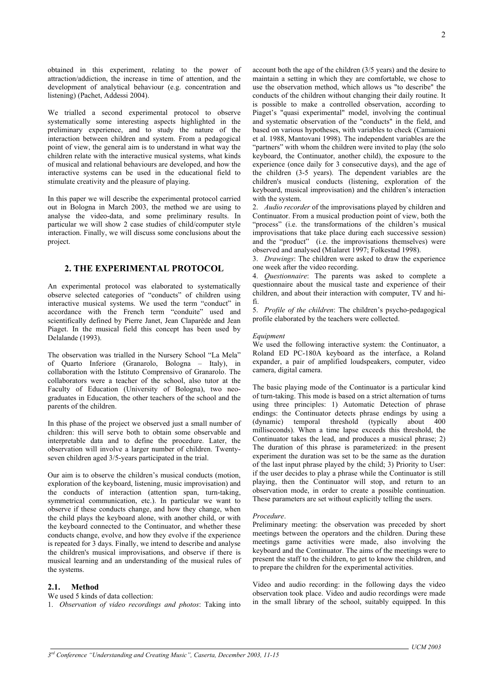obtained in this experiment, relating to the power of attraction/addiction, the increase in time of attention, and the development of analytical behaviour (e.g. concentration and listening) (Pachet, Addessi 2004).

We trialled a second experimental protocol to observe systematically some interesting aspects highlighted in the preliminary experience, and to study the nature of the interaction between children and system. From a pedagogical point of view, the general aim is to understand in what way the children relate with the interactive musical systems, what kinds of musical and relational behaviours are developed, and how the interactive systems can be used in the educational field to stimulate creativity and the pleasure of playing.

In this paper we will describe the experimental protocol carried out in Bologna in March 2003, the method we are using to analyse the video-data, and some preliminary results. In particular we will show 2 case studies of child/computer style interaction. Finally, we will discuss some conclusions about the project.

## **2. THE EXPERIMENTAL PROTOCOL**

An experimental protocol was elaborated to systematically observe selected categories of "conducts" of children using interactive musical systems. We used the term "conduct" in accordance with the French term "conduite" used and scientifically defined by Pierre Janet, Jean Claparède and Jean Piaget. In the musical field this concept has been used by Delalande (1993).

The observation was trialled in the Nursery School "La Mela" of Quarto Inferiore (Granarolo, Bologna – Italy), in collaboration with the Istituto Comprensivo of Granarolo. The collaborators were a teacher of the school, also tutor at the Faculty of Education (University of Bologna), two neograduates in Education, the other teachers of the school and the parents of the children.

In this phase of the project we observed just a small number of children: this will serve both to obtain some observable and interpretable data and to define the procedure. Later, the observation will involve a larger number of children. Twentyseven children aged 3/5-years participated in the trial.

Our aim is to observe the children's musical conducts (motion, exploration of the keyboard, listening, music improvisation) and the conducts of interaction (attention span, turn-taking, symmetrical communication, etc.). In particular we want to observe if these conducts change, and how they change, when the child plays the keyboard alone, with another child, or with the keyboard connected to the Continuator, and whether these conducts change, evolve, and how they evolve if the experience is repeated for 3 days. Finally, we intend to describe and analyse the children's musical improvisations, and observe if there is musical learning and an understanding of the musical rules of the systems.

### **2.1. Method**

We used 5 kinds of data collection:

1. *Observation of video recordings and photos*: Taking into

account both the age of the children (3/5 years) and the desire to maintain a setting in which they are comfortable, we chose to use the observation method, which allows us "to describe" the conducts of the children without changing their daily routine. It is possible to make a controlled observation, according to Piaget's "quasi experimental" model, involving the continual and systematic observation of the "conducts" in the field, and based on various hypotheses, with variables to check (Camaioni et al. 1988, Mantovani 1998). The independent variables are the "partners" with whom the children were invited to play (the solo keyboard, the Continuator, another child), the exposure to the experience (once daily for 3 consecutive days), and the age of the children (3-5 years). The dependent variables are the children's musical conducts (listening, exploration of the keyboard, musical improvisation) and the children's interaction with the system.

2. *Audio recorder* of the improvisations played by children and Continuator. From a musical production point of view, both the "process" (i.e. the transformations of the children's musical improvisations that take place during each successive session) and the "product" (i.e. the improvisations themselves) were observed and analysed (Mialaret 1997; Folkestad 1998).

3. *Drawings*: The children were asked to draw the experience one week after the video recording.

4. *Questionnaire*: The parents was asked to complete a questionnaire about the musical taste and experience of their children, and about their interaction with computer, TV and hifi.

5. *Profile of the children*: The children's psycho-pedagogical profile elaborated by the teachers were collected.

## *Equipment*

We used the following interactive system: the Continuator, a Roland ED PC-180A keyboard as the interface, a Roland expander, a pair of amplified loudspeakers, computer, video camera, digital camera.

The basic playing mode of the Continuator is a particular kind of turn-taking. This mode is based on a strict alternation of turns using three principles: 1) Automatic Detection of phrase endings: the Continuator detects phrase endings by using a (dynamic) temporal threshold (typically about 400 milliseconds). When a time lapse exceeds this threshold, the Continuator takes the lead, and produces a musical phrase; 2) The duration of this phrase is parameterized: in the present experiment the duration was set to be the same as the duration of the last input phrase played by the child; 3) Priority to User: if the user decides to play a phrase while the Continuator is still playing, then the Continuator will stop, and return to an observation mode, in order to create a possible continuation. These parameters are set without explicitly telling the users.

### *Procedure*.

Preliminary meeting: the observation was preceded by short meetings between the operators and the children. During these meetings game activities were made, also involving the keyboard and the Continuator. The aims of the meetings were to present the staff to the children, to get to know the children, and to prepare the children for the experimental activities.

Video and audio recording: in the following days the video observation took place. Video and audio recordings were made in the small library of the school, suitably equipped. In this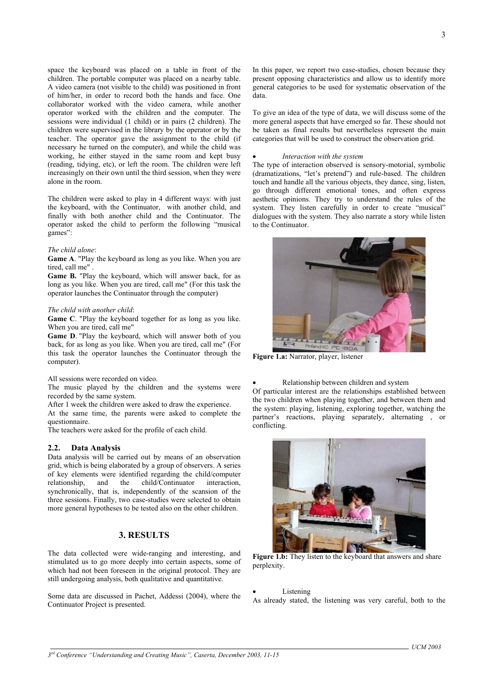space the keyboard was placed on a table in front of the children. The portable computer was placed on a nearby table. A video camera (not visible to the child) was positioned in front of him/her, in order to record both the hands and face. One collaborator worked with the video camera, while another operator worked with the children and the computer. The sessions were individual (1 child) or in pairs (2 children). The children were supervised in the library by the operator or by the teacher. The operator gave the assignment to the child (if necessary he turned on the computer), and while the child was working, he either stayed in the same room and kept busy (reading, tidying, etc), or left the room. The children were left increasingly on their own until the third session, when they were alone in the room.

The children were asked to play in 4 different ways: with just the keyboard, with the Continuator, with another child, and finally with both another child and the Continuator. The operator asked the child to perform the following "musical games":

### *The child alone*:

**Game A**. "Play the keyboard as long as you like. When you are tired, call me" .

**Game B.** "Play the keyboard, which will answer back, for as long as you like. When you are tired, call me" (For this task the operator launches the Continuator through the computer)

#### *The child with another child*:

**Game C**. "Play the keyboard together for as long as you like. When you are tired, call me"

**Game D**. "Play the keyboard, which will answer both of you back, for as long as you like. When you are tired, call me" (For this task the operator launches the Continuator through the computer).

#### All sessions were recorded on video.

The music played by the children and the systems were recorded by the same system.

After 1 week the children were asked to draw the experience.

At the same time, the parents were asked to complete the questionnaire.

The teachers were asked for the profile of each child.

## **2.2. Data Analysis**

Data analysis will be carried out by means of an observation grid, which is being elaborated by a group of observers. A series of key elements were identified regarding the child/computer relationship, and the child/Continuator interaction, and the child/Continuator interaction, synchronically, that is, independently of the scansion of the three sessions. Finally, two case-studies were selected to obtain more general hypotheses to be tested also on the other children.

## **3. RESULTS**

The data collected were wide-ranging and interesting, and stimulated us to go more deeply into certain aspects, some of which had not been foreseen in the original protocol. They are still undergoing analysis, both qualitative and quantitative.

Some data are discussed in Pachet, Addessi (2004), where the Continuator Project is presented.

In this paper, we report two case-studies, chosen because they present opposing characteristics and allow us to identify more general categories to be used for systematic observation of the data.

To give an idea of the type of data, we will discuss some of the more general aspects that have emerged so far. These should not be taken as final results but nevertheless represent the main categories that will be used to construct the observation grid.

### • *Interaction with the system*

The type of interaction observed is sensory-motorial, symbolic (dramatizations, "let's pretend") and rule-based. The children touch and handle all the various objects, they dance, sing, listen, go through different emotional tones, and often express aesthetic opinions. They try to understand the rules of the system. They listen carefully in order to create "musical" dialogues with the system. They also narrate a story while listen to the Continuator.



**Figure 1.a:** Narrator, player, listener

• Relationship between children and system Of particular interest are the relationships established between the two children when playing together, and between them and the system: playing, listening, exploring together, watching the partner's reactions, playing separately, alternating , or conflicting.



**Figure 1.b:** They listen to the keyboard that answers and share perplexity.

### **Listening**

As already stated, the listening was very careful, both to the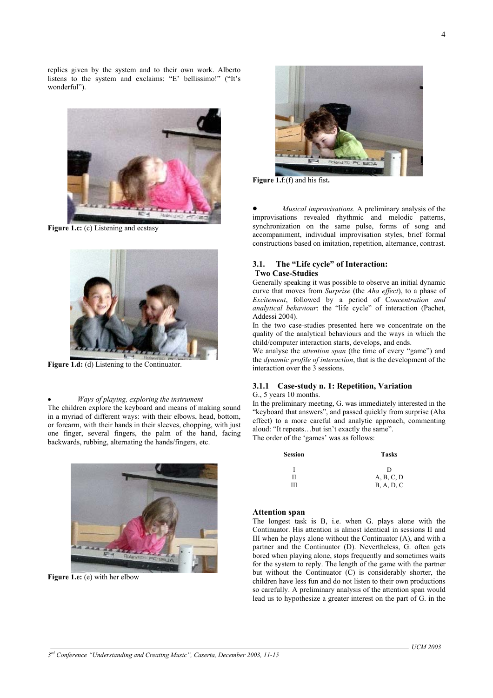replies given by the system and to their own work. Alberto listens to the system and exclaims: "E' bellissimo!" ("It's wonderful").



**Figure 1.c:** (c) Listening and ecstasy



**Figure 1.d:** (d) Listening to the Continuator.

### • *Ways of playing, exploring the instrument*

The children explore the keyboard and means of making sound in a myriad of different ways: with their elbows, head, bottom, or forearm, with their hands in their sleeves, chopping, with just one finger, several fingers, the palm of the hand, facing backwards, rubbing, alternating the hands/fingers, etc.



**Figure 1.e:** (e) with her elbow



**Figure 1.f**:(f) and his fist**.** 

• *Musical improvisations.* A preliminary analysis of the improvisations revealed rhythmic and melodic patterns, synchronization on the same pulse, forms of song and accompaniment, individual improvisation styles, brief formal constructions based on imitation, repetition, alternance, contrast.

## **3.1. The "Life cycle" of Interaction:**

### **Two Case-Studies**

Generally speaking it was possible to observe an initial dynamic curve that moves from *Surprise* (the *Aha effect*), to a phase of *Excitement*, followed by a period of C*oncentration and analytical behaviour*: the "life cycle" of interaction (Pachet, Addessi 2004).

In the two case-studies presented here we concentrate on the quality of the analytical behaviours and the ways in which the child/computer interaction starts, develops, and ends.

We analyse the *attention span* (the time of every "game") and the *dynamic profile of interaction*, that is the development of the interaction over the 3 sessions.

## **3.1.1 Case-study n. 1: Repetition, Variation**

## G., 5 years 10 months.

In the preliminary meeting, G. was immediately interested in the "keyboard that answers", and passed quickly from surprise (Aha effect) to a more careful and analytic approach, commenting aloud: "It repeats…but isn't exactly the same". The order of the 'games' was as follows:

**Session Tasks**

|   | D          |
|---|------------|
| Н | A, B, C, D |
| Ш | B, A, D, C |

### **Attention span**

The longest task is B, i.e. when G. plays alone with the Continuator. His attention is almost identical in sessions II and III when he plays alone without the Continuator (A), and with a partner and the Continuator (D). Nevertheless, G. often gets bored when playing alone, stops frequently and sometimes waits for the system to reply. The length of the game with the partner but without the Continuator (C) is considerably shorter, the children have less fun and do not listen to their own productions so carefully. A preliminary analysis of the attention span would lead us to hypothesize a greater interest on the part of G. in the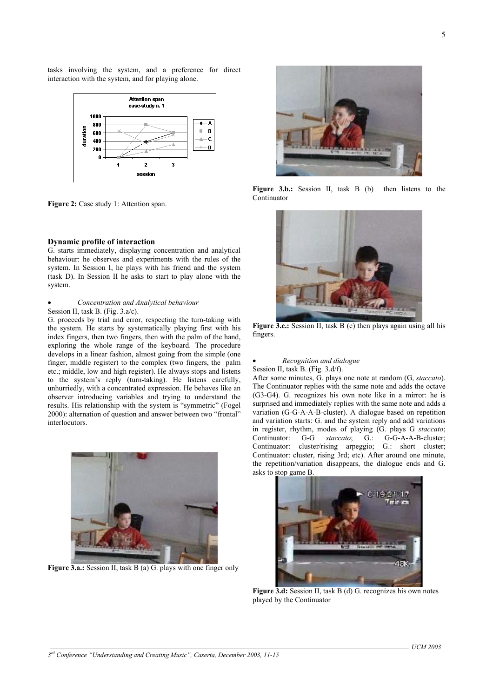tasks involving the system, and a preference for direct interaction with the system, and for playing alone.



Figure 2: Case study 1: Attention span.

### **Dynamic profile of interaction**

G. starts immediately, displaying concentration and analytical behaviour: he observes and experiments with the rules of the system. In Session I, he plays with his friend and the system (task D). In Session II he asks to start to play alone with the system.

### • *Concentration and Analytical behaviour* Session II, task B. (Fig. 3.a/c).

G. proceeds by trial and error, respecting the turn-taking with the system. He starts by systematically playing first with his index fingers, then two fingers, then with the palm of the hand, exploring the whole range of the keyboard. The procedure develops in a linear fashion, almost going from the simple (one finger, middle register) to the complex (two fingers, the palm etc.; middle, low and high register). He always stops and listens to the system's reply (turn-taking). He listens carefully, unhurriedly, with a concentrated expression. He behaves like an observer introducing variables and trying to understand the results. His relationship with the system is "symmetric" (Fogel 2000): alternation of question and answer between two "frontal" **interlocutors** 



**Figure 3.a.:** Session II, task B (a) G. plays with one finger only



Figure 3.b.: Session II, task B (b) then listens to the Continuator



**Figure 3.c.:** Session II, task B (c) then plays again using all his fingers.

### • *Recognition and dialogue*  Session II, task B. (Fig. 3.d/f).

After some minutes, G. plays one note at random (G, *staccato*). The Continuator replies with the same note and adds the octave (G3-G4). G. recognizes his own note like in a mirror: he is surprised and immediately replies with the same note and adds a variation (G-G-A-A-B-cluster). A dialogue based on repetition and variation starts: G. and the system reply and add variations in register, rhythm, modes of playing (G. plays G *staccato*; Continuator: G-G *staccato*; G.: G-G-A-A-B-cluster; Continuator: cluster/rising arpeggio; G.: short cluster; Continuator: cluster, rising 3rd; etc). After around one minute, the repetition/variation disappears, the dialogue ends and G. asks to stop game B.



**Figure 3.d:** Session II, task B (d) G. recognizes his own notes played by the Continuator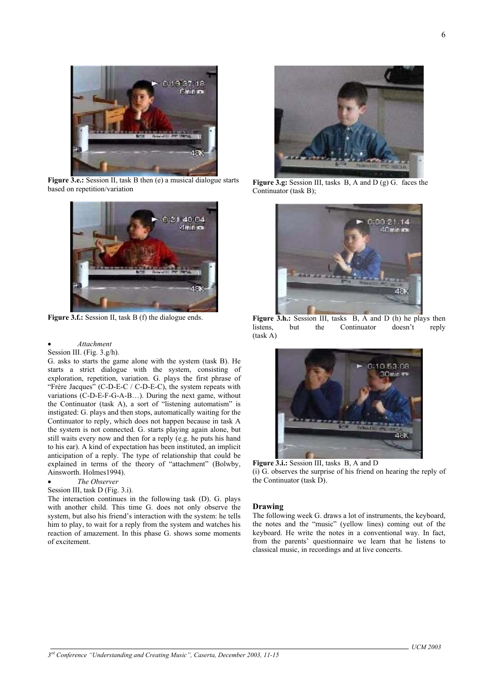

**Figure 3.e.:** Session II, task B then (e) a musical dialogue starts based on repetition/variation



Figure 3.f.: Session II, task B (f) the dialogue ends.

### • *Attachment*

## Session III. (Fig. 3.g/h).

G. asks to starts the game alone with the system (task B). He starts a strict dialogue with the system, consisting of exploration, repetition, variation. G. plays the first phrase of "Frère Jacques" (C-D-E-C / C-D-E-C), the system repeats with variations (C-D-E-F-G-A-B…). During the next game, without the Continuator (task A), a sort of "listening automatism" is instigated: G. plays and then stops, automatically waiting for the Continuator to reply, which does not happen because in task A the system is not connected. G. starts playing again alone, but still waits every now and then for a reply (e.g. he puts his hand to his ear). A kind of expectation has been instituted, an implicit anticipation of a reply. The type of relationship that could be explained in terms of the theory of "attachment" (Bolwby, Ainsworth. Holmes1994).

## • *The Observer*

## Session III, task D (Fig. 3.i).

The interaction continues in the following task (D). G. plays with another child. This time G. does not only observe the system, but also his friend's interaction with the system: he tells him to play, to wait for a reply from the system and watches his reaction of amazement. In this phase G. shows some moments of excitement.



**Figure 3.g:** Session III, tasks B, A and D (g) G. faces the Continuator (task B);



Figure 3.h.: Session III, tasks B, A and D (h) he plays then listens, but the Continuator doesn't reply (task A)



**Figure 3.i.:** Session III, tasks B, A and D (i) G. observes the surprise of his friend on hearing the reply of the Continuator (task D).

### **Drawing**

The following week G. draws a lot of instruments, the keyboard, the notes and the "music" (yellow lines) coming out of the keyboard. He write the notes in a conventional way. In fact, from the parents' questionnaire we learn that he listens to classical music, in recordings and at live concerts.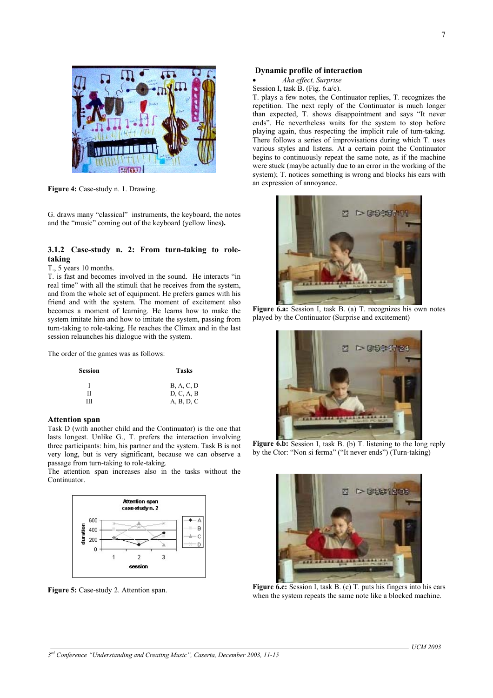

**Figure 4:** Case-study n. 1. Drawing.

G. draws many "classical" instruments, the keyboard, the notes and the "music" coming out of the keyboard (yellow lines**).** 

## **3.1.2 Case-study n. 2: From turn-taking to roletaking**

## T., 5 years 10 months.

T. is fast and becomes involved in the sound. He interacts "in real time" with all the stimuli that he receives from the system, and from the whole set of equipment. He prefers games with his friend and with the system. The moment of excitement also becomes a moment of learning. He learns how to make the system imitate him and how to imitate the system, passing from turn-taking to role-taking. He reaches the Climax and in the last session relaunches his dialogue with the system.

The order of the games was as follows:

| <b>Session</b> | Tasks             |
|----------------|-------------------|
|                | <b>B.</b> A. C. D |
| П              | D, C, A, B        |
| ш              | A, B, D, C        |

### **Attention span**

Task D (with another child and the Continuator) is the one that lasts longest. Unlike G., T. prefers the interaction involving three participants: him, his partner and the system. Task B is not very long, but is very significant, because we can observe a passage from turn-taking to role-taking.

The attention span increases also in the tasks without the Continuator.



**Figure 5:** Case-study 2. Attention span.

### **Dynamic profile of interaction**

- *Aha effect, Surprise*
- Session I, task  $\overline{B}$ . (Fig. 6.a/c).

T. plays a few notes, the Continuator replies, T. recognizes the repetition. The next reply of the Continuator is much longer than expected, T. shows disappointment and says "It never ends". He nevertheless waits for the system to stop before playing again, thus respecting the implicit rule of turn-taking. There follows a series of improvisations during which T. uses various styles and listens. At a certain point the Continuator begins to continuously repeat the same note, as if the machine were stuck (maybe actually due to an error in the working of the system); T. notices something is wrong and blocks his ears with an expression of annoyance.



**Figure 6.a:** Session I, task B. (a) T. recognizes his own notes played by the Continuator (Surprise and excitement)



**Figure 6.b:** Session I, task B. (b) T. listening to the long reply by the Ctor: "Non si ferma" ("It never ends") (Turn-taking)



**Figure 6.c:** Session I, task B. (c) T, puts his fingers into his ears when the system repeats the same note like a blocked machine.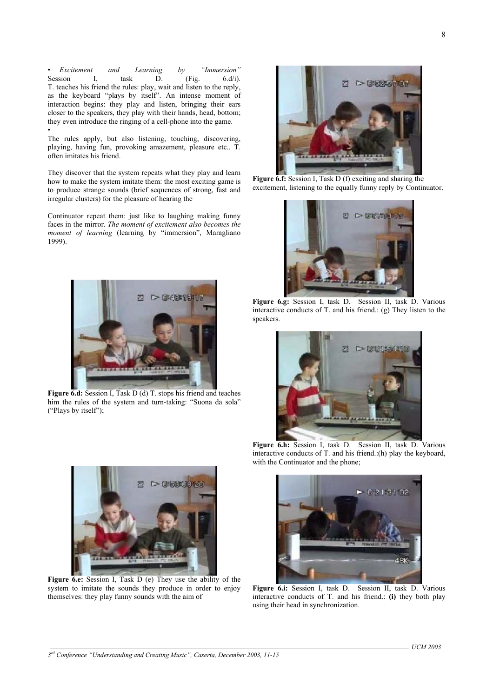• • *Excitement and Learning by "Immersion"* Session I, task  $D.$  (Fig.  $6. d/i$ ). T. teaches his friend the rules: play, wait and listen to the reply, as the keyboard "plays by itself". An intense moment of interaction begins: they play and listen, bringing their ears closer to the speakers, they play with their hands, head, bottom; they even introduce the ringing of a cell-phone into the game.

The rules apply, but also listening, touching, discovering, playing, having fun, provoking amazement, pleasure etc.. T. often imitates his friend.

They discover that the system repeats what they play and learn how to make the system imitate them: the most exciting game is to produce strange sounds (brief sequences of strong, fast and irregular clusters) for the pleasure of hearing the

Continuator repeat them: just like to laughing making funny faces in the mirror. *The moment of excitement also becomes the moment of learning* (learning by "immersion", Maragliano 1999).



**Figure 6.d:** Session I, Task D (d) T. stops his friend and teaches him the rules of the system and turn-taking: "Suona da sola" ("Plays by itself");



**Figure 6.e:** Session I, Task D (e) They use the ability of the system to imitate the sounds they produce in order to enjoy themselves: they play funny sounds with the aim of



**Figure 6.f:** Session I, Task D (f) exciting and sharing the excitement, listening to the equally funny reply by Continuator.



**Figure 6.g:** Session I, task D. Session II, task D. Various interactive conducts of T. and his friend.: (g) They listen to the speakers.



**Figure 6.h:** Session I, task D. Session II, task D. Various interactive conducts of T. and his friend.:(h) play the keyboard, with the Continuator and the phone;



**Figure 6.i:** Session I, task D. Session II, task D. Various interactive conducts of T. and his friend.: **(i)** they both play using their head in synchronization.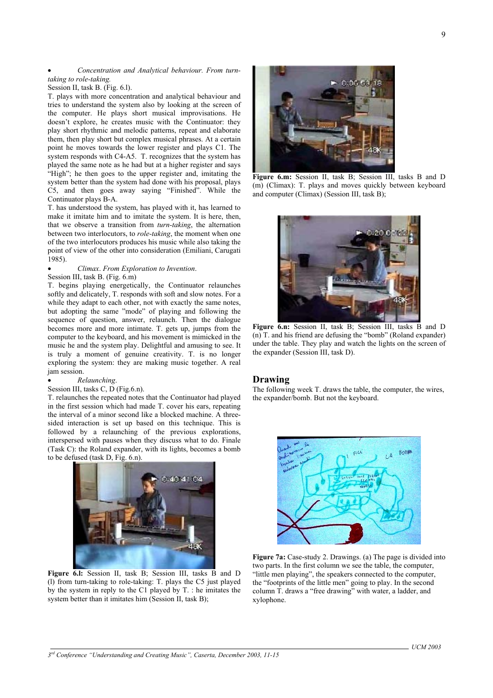## • *Concentration and Analytical behaviour. From turntaking to role-taking.*

Session II, task B. (Fig. 6.l).

T. plays with more concentration and analytical behaviour and tries to understand the system also by looking at the screen of the computer. He plays short musical improvisations. He doesn't explore, he creates music with the Continuator: they play short rhythmic and melodic patterns, repeat and elaborate them, then play short but complex musical phrases. At a certain point he moves towards the lower register and plays C1. The system responds with C4-A5. T. recognizes that the system has played the same note as he had but at a higher register and says "High"; he then goes to the upper register and, imitating the system better than the system had done with his proposal, plays C5, and then goes away saying "Finished". While the Continuator plays B-A.

T. has understood the system, has played with it, has learned to make it imitate him and to imitate the system. It is here, then, that we observe a transition from *turn-taking*, the alternation between two interlocutors, to *role-taking*, the moment when one of the two interlocutors produces his music while also taking the point of view of the other into consideration (Emiliani, Carugati 1985).

## • *Climax*. *From Exploration to Invention*.

Session III, task B. (Fig. 6.m)

T. begins playing energetically, the Continuator relaunches softly and delicately, T. responds with soft and slow notes. For a while they adapt to each other, not with exactly the same notes, but adopting the same "mode" of playing and following the sequence of question, answer, relaunch. Then the dialogue becomes more and more intimate. T. gets up, jumps from the computer to the keyboard, and his movement is mimicked in the music he and the system play. Delightful and amusing to see. It is truly a moment of genuine creativity. T. is no longer exploring the system: they are making music together. A real jam session.

## • *Relaunching*.

## Session III, tasks C, D (Fig.6.n).

T. relaunches the repeated notes that the Continuator had played in the first session which had made T. cover his ears, repeating the interval of a minor second like a blocked machine. A threesided interaction is set up based on this technique. This is followed by a relaunching of the previous explorations, interspersed with pauses when they discuss what to do. Finale (Task C): the Roland expander, with its lights, becomes a bomb to be defused (task D, Fig. 6.n).



**Figure 6.l:** Session II, task B; Session III, tasks B and D (l) from turn-taking to role-taking: T. plays the C5 just played by the system in reply to the C1 played by T. : he imitates the system better than it imitates him (Session II, task B);



**Figure 6.m:** Session II, task B; Session III, tasks B and D (m) (Climax): T. plays and moves quickly between keyboard and computer (Climax) (Session III, task B);



Figure **6.n:** Session II, task B; Session III, tasks B and D (n) T. and his friend are defusing the "bomb" (Roland expander) under the table. They play and watch the lights on the screen of the expander (Session III, task D).

## **Drawing**

The following week T. draws the table, the computer, the wires, the expander/bomb. But not the keyboard.



Figure 7a: Case-study 2. Drawings. (a) The page is divided into two parts. In the first column we see the table, the computer, "little men playing", the speakers connected to the computer, the "footprints of the little men" going to play. In the second column T. draws a "free drawing" with water, a ladder, and xylophone.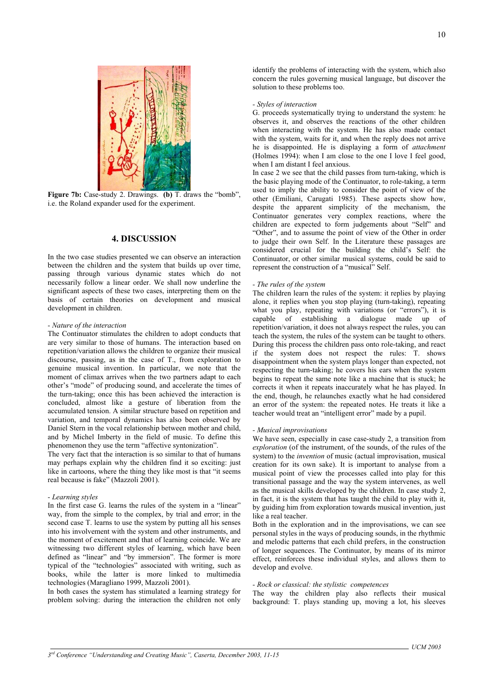

**Figure 7b:** Case-study 2. Drawings. **(b)** T. draws the "bomb", i.e. the Roland expander used for the experiment.

## **4. DISCUSSION**

In the two case studies presented we can observe an interaction between the children and the system that builds up over time, passing through various dynamic states which do not necessarily follow a linear order. We shall now underline the significant aspects of these two cases, interpreting them on the basis of certain theories on development and musical development in children.

### *- Nature of the interaction*

The Continuator stimulates the children to adopt conducts that are very similar to those of humans. The interaction based on repetition/variation allows the children to organize their musical discourse, passing, as in the case of T., from exploration to genuine musical invention. In particular, we note that the moment of climax arrives when the two partners adapt to each other's "mode" of producing sound, and accelerate the times of the turn-taking; once this has been achieved the interaction is concluded, almost like a gesture of liberation from the accumulated tension. A similar structure based on repetition and variation, and temporal dynamics has also been observed by Daniel Stern in the vocal relationship between mother and child, and by Michel Imberty in the field of music. To define this phenomenon they use the term "affective syntonization".

The very fact that the interaction is so similar to that of humans may perhaps explain why the children find it so exciting: just like in cartoons, where the thing they like most is that "it seems real because is fake" (Mazzoli 2001).

#### *- Learning styles*

In the first case G. learns the rules of the system in a "linear" way, from the simple to the complex, by trial and error; in the second case T. learns to use the system by putting all his senses into his involvement with the system and other instruments, and the moment of excitement and that of learning coincide. We are witnessing two different styles of learning, which have been defined as "linear" and "by immersion". The former is more typical of the "technologies" associated with writing, such as books, while the latter is more linked to multimedia technologies (Maragliano 1999, Mazzoli 2001).

In both cases the system has stimulated a learning strategy for problem solving: during the interaction the children not only

identify the problems of interacting with the system, which also concern the rules governing musical language, but discover the solution to these problems too.

### *- Styles of interaction*

G. proceeds systematically trying to understand the system: he observes it, and observes the reactions of the other children when interacting with the system. He has also made contact with the system, waits for it, and when the reply does not arrive he is disappointed. He is displaying a form of *attachment* (Holmes 1994): when I am close to the one I love I feel good, when I am distant I feel anxious.

In case 2 we see that the child passes from turn-taking, which is the basic playing mode of the Continuator, to role-taking, a term used to imply the ability to consider the point of view of the other (Emiliani, Carugati 1985). These aspects show how, despite the apparent simplicity of the mechanism, the Continuator generates very complex reactions, where the children are expected to form judgements about "Self" and "Other", and to assume the point of view of the Other in order to judge their own Self. In the Literature these passages are considered crucial for the building the child's Self: the Continuator, or other similar musical systems, could be said to represent the construction of a "musical" Self.

## *- The rules of the system*

The children learn the rules of the system: it replies by playing alone, it replies when you stop playing (turn-taking), repeating what you play, repeating with variations (or "errors"), it is capable of establishing a dialogue made up of repetition/variation, it does not always respect the rules, you can teach the system, the rules of the system can be taught to others. During this process the children pass onto role-taking, and react if the system does not respect the rules: T. shows disappointment when the system plays longer than expected, not respecting the turn-taking; he covers his ears when the system begins to repeat the same note like a machine that is stuck; he corrects it when it repeats inaccurately what he has played. In the end, though, he relaunches exactly what he had considered an error of the system: the repeated notes. He treats it like a teacher would treat an "intelligent error" made by a pupil.

### *- Musical improvisations*

We have seen, especially in case case-study 2, a transition from *exploration* (of the instrument, of the sounds, of the rules of the system) to the *invention* of music (actual improvisation, musical creation for its own sake). It is important to analyse from a musical point of view the processes called into play for this transitional passage and the way the system intervenes, as well as the musical skills developed by the children. In case study 2, in fact, it is the system that has taught the child to play with it, by guiding him from exploration towards musical invention, just like a real teacher.

Both in the exploration and in the improvisations, we can see personal styles in the ways of producing sounds, in the rhythmic and melodic patterns that each child prefers, in the construction of longer sequences. The Continuator, by means of its mirror effect, reinforces these individual styles, and allows them to develop and evolve.

### *- Rock or classical: the stylistic competences*

The way the children play also reflects their musical background: T. plays standing up, moving a lot, his sleeves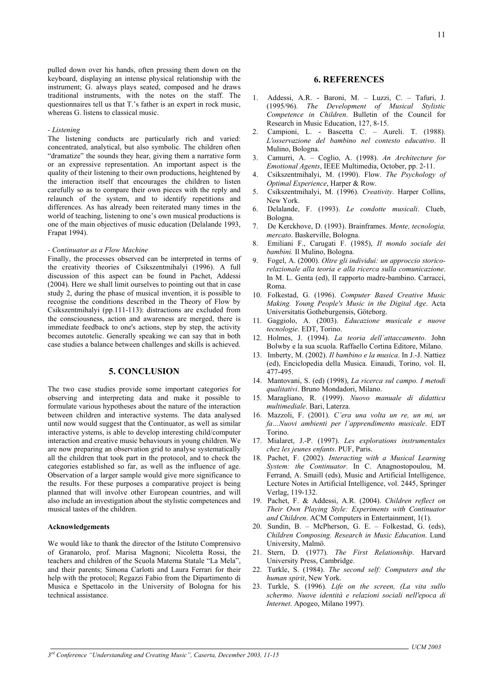pulled down over his hands, often pressing them down on the keyboard, displaying an intense physical relationship with the instrument; G. always plays seated, composed and he draws traditional instruments, with the notes on the staff. The questionnaires tell us that T.'s father is an expert in rock music, whereas G. listens to classical music.

### *- Listening*

The listening conducts are particularly rich and varied: concentrated, analytical, but also symbolic. The children often "dramatize" the sounds they hear, giving them a narrative form or an expressive representation. An important aspect is the quality of their listening to their own productions, heightened by the interaction itself that encourages the children to listen carefully so as to compare their own pieces with the reply and relaunch of the system, and to identify repetitions and differences. As has already been reiterated many times in the world of teaching, listening to one's own musical productions is one of the main objectives of music education (Delalande 1993, Frapat 1994).

#### *- Continuator as a Flow Machine*

Finally, the processes observed can be interpreted in terms of the creativity theories of Csikszentmihalyi (1996). A full discussion of this aspect can be found in Pachet, Addessi (2004). Here we shall limit ourselves to pointing out that in case study 2, during the phase of musical invention, it is possible to recognise the conditions described in the Theory of Flow by Csikszentmihalyi (pp.111-113): distractions are excluded from the consciousness, action and awareness are merged, there is immediate feedback to one's actions, step by step, the activity becomes autotelic. Generally speaking we can say that in both case studies a balance between challenges and skills is achieved.

## **5. CONCLUSION**

The two case studies provide some important categories for observing and interpreting data and make it possible to formulate various hypotheses about the nature of the interaction between children and interactive systems. The data analysed until now would suggest that the Continuator, as well as similar interactive ystems, is able to develop interesting child/computer interaction and creative music behaviours in young children. We are now preparing an observation grid to analyse systematically all the children that took part in the protocol, and to check the categories established so far, as well as the influence of age. Observation of a larger sample would give more significance to the results. For these purposes a comparative project is being planned that will involve other European countries, and will also include an investigation about the stylistic competences and musical tastes of the children.

#### **Acknowledgements**

We would like to thank the director of the Istituto Comprensivo of Granarolo, prof. Marisa Magnoni; Nicoletta Rossi, the teachers and children of the Scuola Materna Statale "La Mela", and their parents; Simona Carlotti and Laura Ferrari for their help with the protocol; Regazzi Fabio from the Dipartimento di Musica e Spettacolo in the University of Bologna for his technical assistance.

## **6. REFERENCES**

- 1. Addessi, A.R. Baroni, M. Luzzi, C. Tafuri, J. (1995/96). *The Development of Musical Stylistic Competence in Children*. Bulletin of the Council for Research in Music Education, 127, 8-15.
- 2. Campioni, L. Bascetta C. Aureli. T. (1988). *L'osservazione del bambino nel contesto educativo*. Il Mulino, Bologna.
- 3. Camurri, A. Coglio, A. (1998). *An Architecture for Emotional Agents*, IEEE Multimedia, October, pp. 2-11.
- 4. Csikszentmihalyi, M. (1990). Flow. *The Psychology of Optimal Experience*, Harper & Row.
- 5. Csikszentmihalyi, M. (1996). *Creativity*. Harper Collins, New York.
- 6. Delalande, F. (1993). *Le condotte musicali*. Clueb, Bologna.
- 7. De Kerckhove, D. (1993). Brainframes. *Mente, tecnologia, mercato*. Baskerville, Bologna.
- 8. Emiliani F., Carugati F. (1985), *Il mondo sociale dei bambini.* Il Mulino, Bologna.
- 9. Fogel, A. (2000). *Oltre gli individui: un approccio storicorelazionale alla teoria e alla ricerca sulla comunicazione*. In M. L. Genta (ed), Il rapporto madre-bambino. Carracci, Roma.
- 10. Folkestad, G. (1996). *Computer Based Creative Music Making. Young People's Music in the Digital Age*. Acta Universitatis Gotheburgensis, Göteborg.
- 11. Gaggiolo, A. (2003). *Educazione musicale e nuove tecnologie*. EDT, Torino.
- 12. Holmes, J. (1994). *La teoria dell'attaccamento*. John Bolwby e la sua scuola. Raffaello Cortina Editore, Milano.
- 13. Imberty, M. (2002). *Il bambino e la musica*. In J.-J. Nattiez (ed), Enciclopedia della Musica. Einaudi, Torino, vol. II, 477-495.
- 14. Mantovani, S. (ed) (1998), *La ricerca sul campo. I metodi qualitativi*. Bruno Mondadori, Milano.
- 15. Maragliano, R. (1999). *Nuovo manuale di didattica multimediale*. Bari, Laterza.
- 16. Mazzoli, F. (2001). *C'era una volta un re, un mi, un fa…Nuovi ambienti per l'apprendimento musicale*. EDT Torino.
- 17. Mialaret, J.-P. (1997). *Les explorations instrumentales chez les jeunes enfants*. PUF, Paris.
- 18. Pachet, F. (2002). *Interacting with a Musical Learning System: the Continuator*. In C. Anagnostopoulou, M. Ferrand, A. Smaill (eds), Music and Artificial Intelligence, Lecture Notes in Artificial Intelligence, vol. 2445, Springer Verlag, 119-132.
- 19. Pachet, F. & Addessi, A.R. (2004). *Children reflect on Their Own Playing Style: Experiments with Continuator and Children*. ACM Computers in Entertainment, 1(1).
- 20. Sundin, B. McPherson, G. E. Folkestad, G. (eds), *Children Composing. Research in Music Education*. Lund University, Malmö.
- 21. Stern, D. (1977). *The First Relationship*. Harvard University Press, Cambridge.
- 22. Turkle, S. (1984). *The second self: Computers and the human spirit*, New York.
- 23. Turkle, S. (1996). *Life on the screen, (La vita sullo schermo. Nuove identità e relazioni sociali nell'epoca di Internet*. Apogeo, Milano 1997).